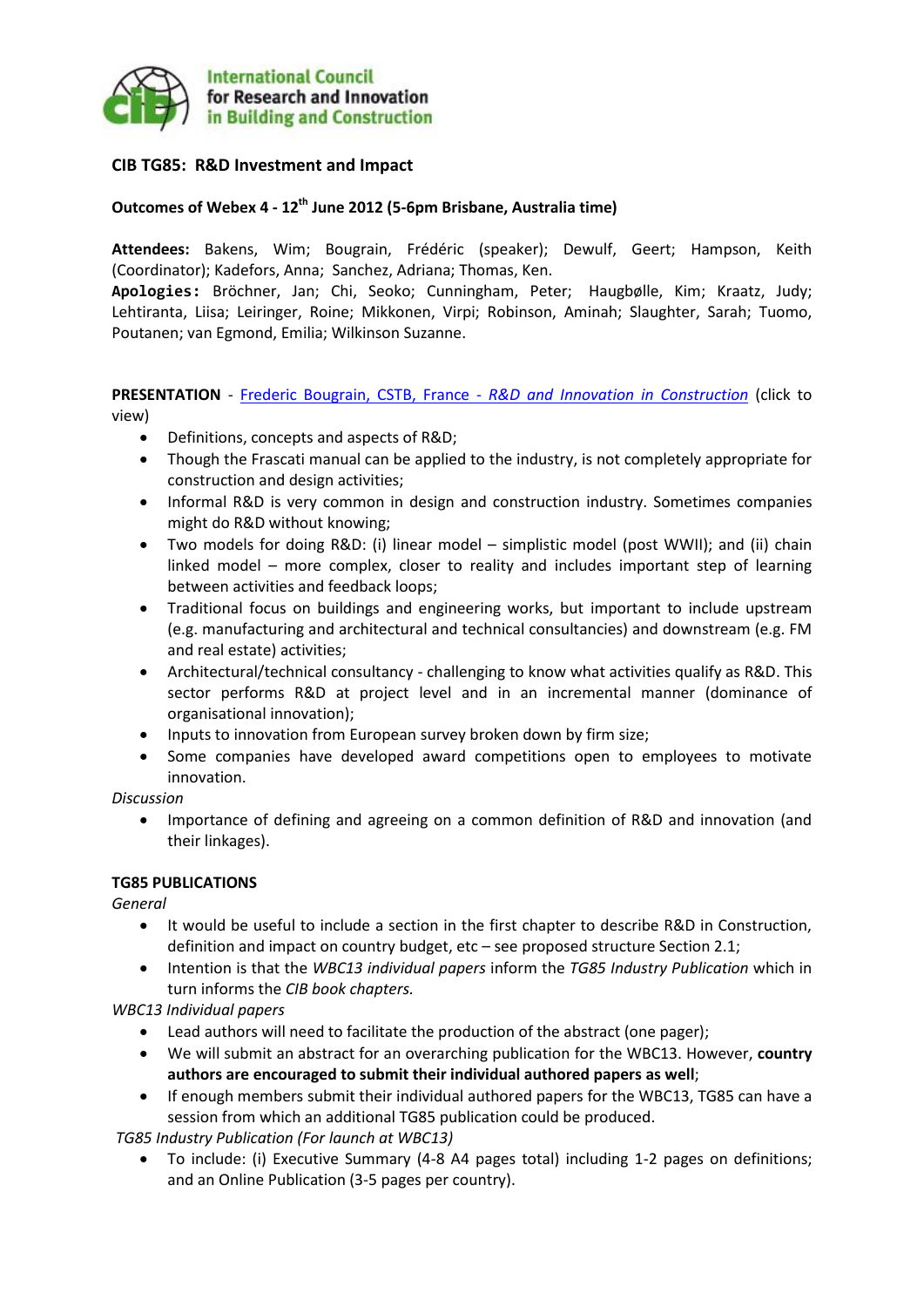

# **CIB TG85: R&D Investment and Impact**

# **Outcomes of Webex 4 - 12th June 2012 (5-6pm Brisbane, Australia time)**

**Attendees:** Bakens, Wim; Bougrain, Frédéric (speaker); Dewulf, Geert; Hampson, Keith (Coordinator); Kadefors, Anna; Sanchez, Adriana; Thomas, Ken.

**Apologies:** Bröchner, Jan; Chi, Seoko; Cunningham, Peter; Haugbølle, Kim; Kraatz, Judy; Lehtiranta, Liisa; Leiringer, Roine; Mikkonen, Virpi; Robinson, Aminah; Slaughter, Sarah; Tuomo, Poutanen; van Egmond, Emilia; Wilkinson Suzanne.

**PRESENTATION** - Frederic Bougrain, CSTB, France - *[R&D and Innovation in Construction](http://www.sbenrc.com.au/images/stories/TG85-RD-Construction-12June2012.pdf)* (click to view)

- Definitions, concepts and aspects of R&D;
- Though the Frascati manual can be applied to the industry, is not completely appropriate for construction and design activities;
- Informal R&D is very common in design and construction industry. Sometimes companies might do R&D without knowing;
- Two models for doing R&D: (i) linear model simplistic model (post WWII); and (ii) chain linked model – more complex, closer to reality and includes important step of learning between activities and feedback loops;
- Traditional focus on buildings and engineering works, but important to include upstream (e.g. manufacturing and architectural and technical consultancies) and downstream (e.g. FM and real estate) activities;
- Architectural/technical consultancy challenging to know what activities qualify as R&D. This sector performs R&D at project level and in an incremental manner (dominance of organisational innovation);
- Inputs to innovation from European survey broken down by firm size;
- Some companies have developed award competitions open to employees to motivate innovation.

*Discussion*

 Importance of defining and agreeing on a common definition of R&D and innovation (and their linkages).

### **TG85 PUBLICATIONS**

*General*

- It would be useful to include a section in the first chapter to describe R&D in Construction, definition and impact on country budget, etc – see proposed structure Section 2.1;
- Intention is that the *WBC13 individual papers* inform the *TG85 Industry Publication* which in turn informs the *CIB book chapters.*

*WBC13 Individual papers*

- Lead authors will need to facilitate the production of the abstract (one pager);
- We will submit an abstract for an overarching publication for the WBC13. However, **country authors are encouraged to submit their individual authored papers as well**;
- If enough members submit their individual authored papers for the WBC13, TG85 can have a session from which an additional TG85 publication could be produced.

*TG85 Industry Publication (For launch at WBC13)*

 To include: (i) Executive Summary (4-8 A4 pages total) including 1-2 pages on definitions; and an Online Publication (3-5 pages per country).